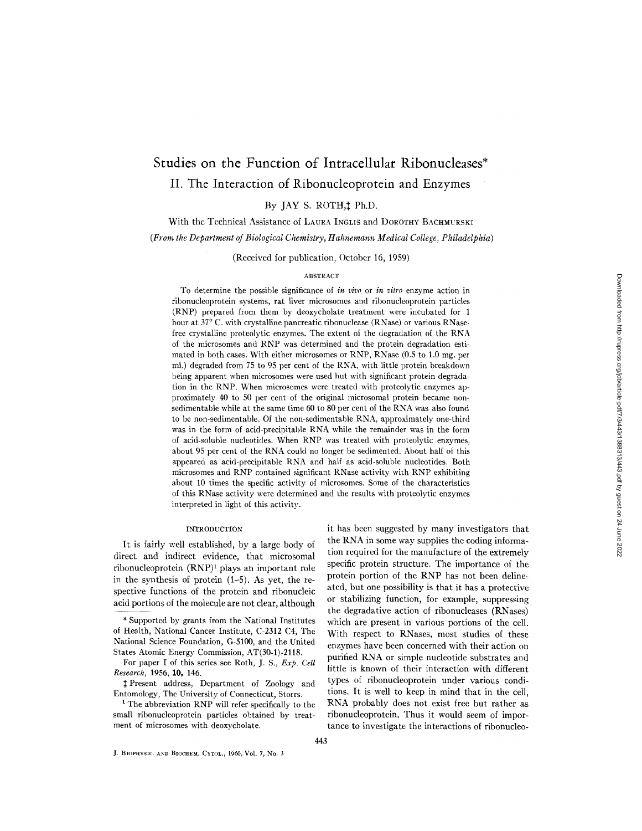# **Studies on the Function of Intracellular Ribonucleases\***  II. The Interaction of Ribonuclcoprotein and Enzymes

By JAY S. ROTH.<sup>†</sup> Ph.D.

With the Technical Assistance of LAURA INGLIS and DOROTHY BACHMURSKI

*(From the Department of Biological Chemistry, Hahnemann Medical College, Philadelphia)* 

(Received for publication, October 16, 1959)

#### ABSTRACT

To determine the possible significance of *in vivo* or *in vitro* enzyme action in ribonucleoprotein systems, rat liver microsomes and ribonucleoprotein particles (RNP) prepared from them by deoxycholate treatment were incubated for 1 hour at 37° C, with crystalline pancreatic ribonuclease (RNase) or various RNasefree crystalline proteolytic enzymes. The extent of the degradation of the RNA of the microsomes and RNP was determined and the protein degradation estimated in both cases. With either microsomes or RNP, RNase (0.5 to 1.0 mg. per ml.) degraded from 75 to 95 per cent of the RNA, with little protein breakdown being apparent when microsomes were used but with significant protein degradation in the RNP. When microsomes were treated with proteolytic enzymes approximately 40 to 50 per cent of the original microsomal protein became nonsedimentable while at the same time 60 to 80 per cent of the RNA was also found to be non-sedimentable. Of the non-sedimentable RNA, approximately one-third was in the form of acid-precipitable RNA while the remainder was in the form of acid-soluble nucleotides. When RNP was treated with proteolytic enzymes, about 95 per cent of the RNA could no longer be sedimented, About half of this appeared as acid-preeipitable RNA and half as acid-soluble nucleotides. Both microsomes and RNP contained significant RNase activity with RNP exhibiting about 10 times the specific activity of microsomes. Some of the characteristics of this RNase activity were determined and the results with proteolytic enzymes interpreted in light of this activity.

#### INTRODUCTION

It is fairly well established, by a large body of direct and indirect evidence, that microsomal ribonucleoprotein  $(RNP)^1$  plays an important role in the synthesis of protein (1-5). As yet, the respective functions of the protein and ribonucleic acid portions of the molecule are not clear, although

it has been suggested by many investigators that the RNA in some way supplies the coding information required for the manufacture of the extremely specific protein structure. The importance of the protein portion of the RNP has not been delineated, but one possibility is that it has a protective or stabilizing function, for example, suppressing the degradative action of ribonucleases (RNases) which are present in various portions of the cell. With respect to RNases, most studies of these enzymes have been concerned with their action on purified RNA or simple nucleotide substrates and little is known of their interaction with different types of ribonucleoprotein under various conditions. It is well to keep in mind that in the cell, RNA probably does not exist free but rather as ribonucleoprotein. Thus it would seem of importance to investigate the interactions of ribonucleo-

<sup>\*</sup> Supported by grants from the National Institutes of Health, National Cancer Institute, C-2312 C4, The National Science Foundation, G-5100, and the United States Atomic Energy Commission, AT(30-1)-2118.

For paper I of this series see Roth, J. S., *Exp. Cell Research,* 1956, 10, 146.

<sup>:~</sup>Present address, Department of Zoology and Entomology, The University of Connecticut, Storrs.

<sup>&</sup>lt;sup>1</sup> The abbreviation RNP will refer specifically to the small ribonucleoprotein particles obtained by treatment of mierosomes with deoxycholate.

J. BIOPHYSIC. AND BIOCHEM. CYTOL., 1960, Vol. 7, *No.* 3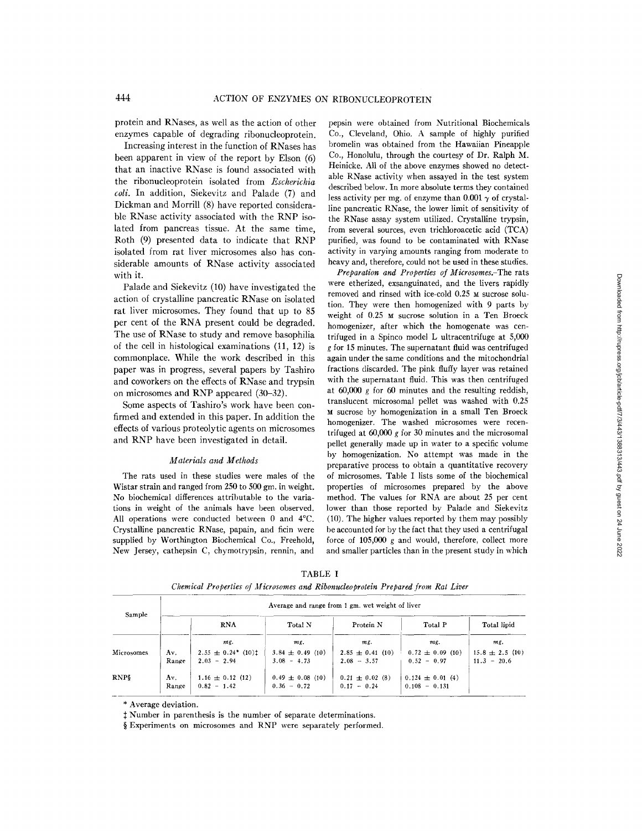protein and RNases, as well as the action of other enzymes capable of degrading ribonucleoprotein.

Increasing interest in the function of RNases has been apparent in view of the report by Elson (6) that an inactive RNase is found associated with the ribonucleoprotein isolated from *Escherichia coll.* In addition, Siekevitz and Palade (7) and Dickman and Morrill (8) have reported considerable RNase activity associated with the RNP isolated from pancreas tissue. At the same time, Roth (9) presented data to indicate that RNP isolated from rat liver microsomes also has considerable amounts of RNase activity associated with it.

Palade and Siekevitz (10) have investigated the action of crystalline pancreatic RNase on isolated rat liver microsomes. They found that up to 85 per cent of the RNA present could be degraded. The use of RNase to study and remove basophilia of the cell in histological examinations (11, 12) is commonplace. While the work described in this paper was in progress, several papers by Tashiro and coworkers on the effects of RNase and trypsin on microsomes and RNP appeared (30-32).

Some aspects of Tashiro's work have been confirmed and extended in this paper. In addition the effects of various proteolytic agents on microsomes and RNP have been investigated in detail.

### *Materials and Methods*

The rats used in these studies were males of the Wistar strain and ranged from 250 to 500 gm. in weight. No biochemical differences attributable to the variations in weight of the animals have been observed. All operations were conducted between 0 and 4°C. Crystalline pancreatic RNase, papain, and ficin were supplied by Worthington Biochemical Co., Freehold, New Jersey, cathepsin C, chymotrypsin, rennin, and pepsin were obtained from Nutritional Biochemicals Co., Cleveland, Ohio. A sample of highly purified bromelin was obtained from the Hawaiian Pineapple Co., Honolulu, through the courtesy of Dr. Ralph M. Heinicke. All of the above enzymes showed no detectable RNase activity when assayed in the test system described below. In more absolute terms they contained less activity per mg. of enzyme than 0.001  $\gamma$  of crystalline pancreatic RNase, the lower limit of sensitivity of the RNase assay system utilized. Crystalline trypsin, from several sources, even trichloroacetic acid (TCA) purified, was found to be contaminated with RNase activity in varying amounts ranging from moderate to heavy and, therefore, could not be used in these studies.

*Preparation and Properties of Microsomes.-The* rats were etherized, exsanguinated, and the livers rapidly removed and rinsed with ice-cold 0.25 M sucrose solution. They were then homogenized with 9 parts by weight of 0.25 M sucrose solution in a Ten Broeck homogenizer, after which the homogenate was centrifuged in a Spinco model L ultracentrifuge at 5,000  $g$  for 15 minutes. The supernatant fluid was centrifuged again under the same conditions and the mitochondrial fractions discarded. The pink fluffy layer was retained with the supernatant fluid. This was then centrifuged at  $60,000 \, \text{g}$  for 60 minutes and the resulting reddish, translucent microsomal pellet was washed with 0.25 M sucrose by homogenization in a small Ten Broeck homogenizer. The washed microsomes were recentrifuged at  $60,000$  g for 30 minutes and the microsomal pellet generally made up in water to a specific volume by homogenization. No attempt was made in the preparative process to obtain a quantitative recovery of microsomes. Table I lists some of the biochemical properties of microsomes prepared by the above method. The values for RNA are about 25 per cent lower than those reported by Palade and Siekevitz (10). The higher values reported by them may possibly be accounted for by the fact that they used a centrifugal force of  $105,000 \, g$  and would, therefore, collect more and smaller particles than in the present study in which

| Sample     | Average and range from 1 gm. wet weight of liver |                                       |                                       |                                      |                                         |                     |  |  |  |
|------------|--------------------------------------------------|---------------------------------------|---------------------------------------|--------------------------------------|-----------------------------------------|---------------------|--|--|--|
|            | <b>RNA</b>                                       |                                       | Total N                               | Protein N                            | Total P                                 | Total lipid         |  |  |  |
|            |                                                  | mg.                                   | mg.                                   | mg.                                  | mg.                                     | mg,                 |  |  |  |
| Microsomes | Av.                                              | $2.55 \pm 0.24^*$ (10) <sup>†</sup>   | $3.84 \pm 0.49$ (10)                  | $2.85 \pm 0.41$ (10)                 | $0.72 \pm 0.09$ (10)                    | $15.8 \pm 2.5$ (10) |  |  |  |
|            | Range                                            | $2.03 - 2.94$                         | $3.08 - 4.73$                         | $2.08 - 3.57$                        | $0.52 - 0.97$                           | $11.3 - 20.6$       |  |  |  |
| RNP§       | Av.<br>Range                                     | $1.16 \pm 0.12$ (12)<br>$0.82 - 1.42$ | $0.49 \pm 0.08$ (10)<br>$0.36 - 0.72$ | $0.21 \pm 0.02$ (8)<br>$0.17 - 0.24$ | $0.124 \pm 0.01$ (4)<br>$0.108 - 0.131$ |                     |  |  |  |

TABLE I *Chemical Properties of Microsomes and Ribonucleoprotein Prepared from Rat Liver* 

\* Average deviation.

:~ Number in parenthesis is the number of separate determinations.

§ Experiments on microsomes and RNP were separately performed.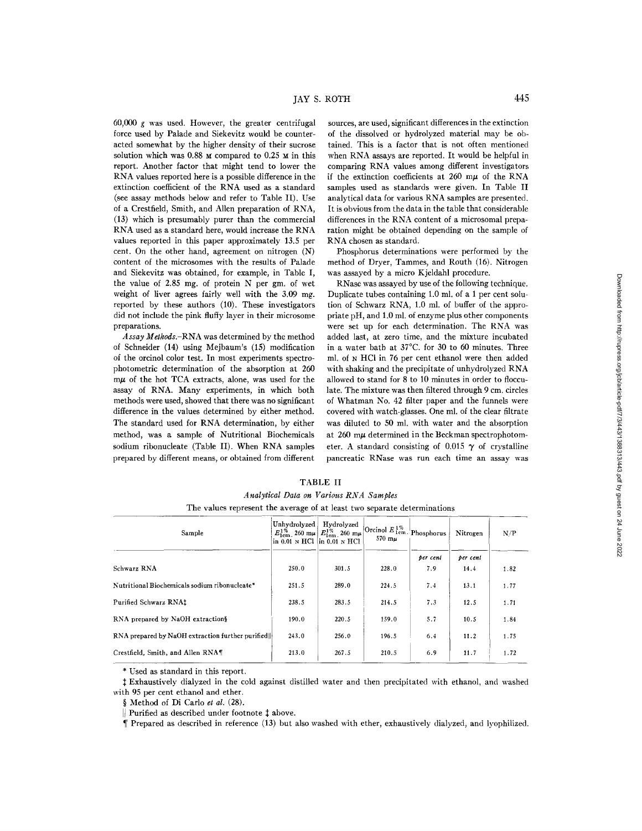60,000  $g$  was used. However, the greater centrifugal force used by Palade and Siekevitz would be counteracted somewhat by the higher density of their sucrose solution which was  $0.88 ~ \text{m}$  compared to  $0.25 ~ \text{m}$  in this report. Another factor that might tend to lower the RNA values reported here is a possible difference in the extinction coefficient of the RNA used as a standard (see assay methods below and refer to Table II). Use of a Crestfield, Smith, and Allen preparation of RNA, (13) which is presumably purer than the commercial RNA used as a standard here, would increase the RNA values reported in this paper approximately 13.5 per cent. On the other hand, agreement on nitrogen (N) content of the microsomes with the results of Palade and Siekevitz was obtained, for example, in Table I, the value of 2.85 mg. of protein N per gm. of wet weight of liver agrees fairly well with the 3.09 mg. reported by these authors (10). These investigators did not include the pink fluffy layer in their microsome preparations.

*Assay Methods.-RNA* was determined by the method of Schneider (14) using Mejbaum's (15) modification of the orcinol color test. In most experiments spectrophotometric determination of the absorption at 260  $m\mu$  of the hot TCA extracts, alone, was used for the assay of RNA. Many experiments, in which both methods were used, showed that there was no significant difference in the values determined by either method. The standard used for RNA determination, by either method, was a sample of Nutritional Biochemicals sodium ribonucleate (Table II). When RNA samples prepared by different means, or obtained from different

sources, are used, significant differences in the extinction of the dissolved or hydrolyzed material may be obtained. This is a factor that is not often mentioned when RNA assays are reported. It would be helpful in comparing RNA values among different investigators if the extinction coefficients at  $260 \text{ m}\mu$  of the RNA samples used as standards were given. In Table II analytical data for various RNA samples are presented. It is obvious from the data in the table that considerable differences in the RNA content of a microsomal preparation might be obtained depending on the sample of RNA chosen as standard.

Phosphorus determinations were performed by the method of Dryer, Tammes, and Routh (16). Nitrogen was assayed by a micro Kjeldahl procedure.

RNase was assayed by use of the following technique. Duplicate tubes containing 1.0 ml. of a 1 per cent solution of Schwarz RNA, 1.0 ml. of buffer of the appropriate pH, and 1.0 ml. of enzyme plus other components were set up for each determination. The RNA was added last, at zero time, and the mixture incubated in a water bath at 37°C. for 30 to 60 minutes. Three ml. of N HCl in 76 per cent ethanol were then added with shaking and the precipitate of unhydrolyzed RNA allowed to stand for 8 to 10 minutes in order to flocculate. The mixture was then filtered through 9 cm. circles of Whatman No. 42 filter paper and the funnels were covered with watch-glasses. One ml. of the clear filtrate was diluted to 50 ml. with water and the absorption at  $260 \text{ m}\mu$  determined in the Beckman spectrophotometer. A standard consisting of 0.015  $\gamma$  of crystalline pancreatic RNase was run each time an assay was

| Sample                                           | Unhydrolyzed<br>$E_{1cm}^{1\%}$ 260 m $\mu$<br>$\left  \text{in } 0.01 \right.$ N HCl $\left  \text{in } 0.01 \right.$ N HCl | Hydrolyzed<br>$E_{1 \rm cm}^{1 \%}$ , 260 m $\mu$ | Orcinol $E_{1cm}^{1\%}$ . Phosphorus<br>570 m $\mu$ |          | Nitrogen | N/P  |
|--------------------------------------------------|------------------------------------------------------------------------------------------------------------------------------|---------------------------------------------------|-----------------------------------------------------|----------|----------|------|
|                                                  |                                                                                                                              |                                                   |                                                     | per cent | ber cent |      |
| Schwarz RNA                                      | 250.0                                                                                                                        | 301.5                                             | 228.0                                               | 7.9      | 14.4     | 1.82 |
| Nutritional Biochemicals sodium ribonucleate*    | 251.5                                                                                                                        | 289.0                                             | 224.5                                               | 7.4      | 13.1     | 1.77 |
| Purified Schwarz RNA1                            | 238.5                                                                                                                        | 283.5                                             | 214.5                                               | 7.3      | 12.5     | 1.71 |
| RNA prepared by NaOH extraction§                 | 190.0                                                                                                                        | 220.5                                             | 159.0                                               | 5.7      | 10.5     | 1.84 |
| RNA prepared by NaOH extraction further purified | 243.0                                                                                                                        | 256.0                                             | 196.5                                               | 6.4      | 11.2     | 1.75 |
| Crestfield, Smith, and Allen RNA¶                | 213.0                                                                                                                        | 267.5                                             | 210.5                                               | 6.9      | 11.7     | 1.72 |

TABLE II *Analytical Data on Various RNA Samples*  The values represent the average of at least two separate determination

\* Used as standard in this report.

~: Exhaustively dialyzed in the cold against distilled water and then precipitated with ethanol, amt washed with 95 per cent ethanol and ether.

§ Method of Di Carlo et al. (28).

¶ Prepared as described in reference (13) but also washed with ether, exhaustively dialyzed, and lyophilized.

 $\parallel$  Purified as described under footnote  $\ddagger$  above.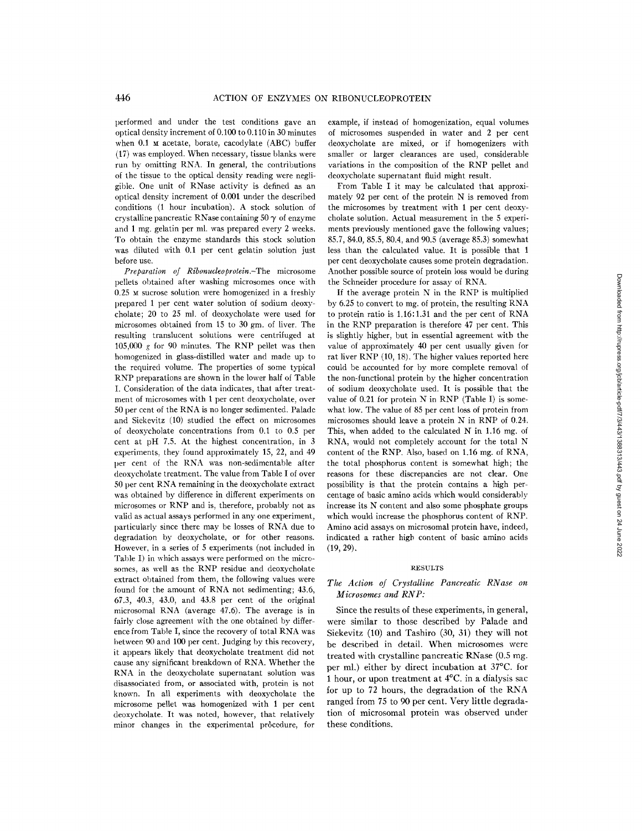performed and under the test conditions gave an optical density increment of 0.100 to 0.110 in 30 minutes when  $0.1 ~$ M acetate, borate, cacodylate (ABC) buffer (17) was employed. When necessary, tissue blanks were run by omitting RNA. In general, the contributions of the tissue to the optical density reading were negligible. One unit of RNase activity is defined as an optical density increment of 0.001 under the described conditions (1 hour incubation). A stock solution of crystalline pancreatic RNase containing 50  $\gamma$  of enzyme and 1 mg. gelatin per ml. was prepared every 2 weeks. To obtain the enzyme standards this stock solution was diluted with 0.1 per cent gelatin solution just before use.

*Preparation of Ribonucleoproteln.-The* mierosome pellets obtained after washing microsomes once with 0.25 M sucrose solution were homogenized in a freshly prepared 1 per cent water solution of sodium deoxycholate; 20 to 25 ml. of deoxycholate were used for microsomes obtained from 15 to 30 gm. of liver. The resulting translucent solutions were centrifuged at 105,000  $g$  for 90 minutes. The RNP pellet was then homogenized in glass-distilled water and made up to the required volume. The properties of some typical RNP preparations are shown in the lower half of Table I. Consideration of the data indicates, that after treatment of microsomes with 1 per cent deoxycholate, over 50 per cent of the RNA is no longer sedimented. Palade and Siekevitz (10) studied the effect on microsomes of deoxycholate concentrations from 0.1 to 0.5 per cent at pH 7.5. At the highest concentration, in 3 experiments, they found approximately 15, 22, and 49 per cent of the RNA was non-sedimentable after deoxycholate treatment. The value from Table I of over 50 per cent RNA remaining in the deoxycholate extract was obtained by difference in different experiments on microsomes or RNP and is, therefore, probably not as valid as actual assays performed in any one experiment, particularly since there may be losses of RNA due to degradation by deoxycholate, or for other reasons. However, in a series of 5 experiments (not included in Table I) in which assays were performed on the microsomes, as well as the RNP residue and deoxycholate extract obtained from them, the following values were found for the amount of RNA not sedimenting; 43.6, 67.3, 40.3, 43.0, and 43.8 per cent of the original microsomal RNA (average 47.6). The average is in fairly close agreement with the one obtained by difference from Table I, since the recovery of total RNA was between 90 and 100 per cent. Judging by this recovery, it appears likely that deoxycholate treatment did not cause any significant breakdown of RNA. Whether the RNA in the deoxycholate supernatant solution was disassociated from, or associated with, protein is not known. In all experiments with deoxycholate the microsome pellet was homogenized with 1 per cent deoxycholate. It was noted, however, that relatively minor changes in the experimental procedure, for

example, if instead of homogenization, equal volumes of microsomes suspended in water and 2 per cent deoxycholate are mixed, or if homogenizers with smaller or larger clearances are used, considerable variations in the composition of the RNP pellet and deoxycholate supernatant fluid might result.

From Table I it may be calculated that approximately 92 per cent of the protein N is removed from the microsomes by treatment with 1 per cent deoxycholate solution. Actual measurement in the 5 experiments previously mentioned gave the following values; 85.7, 84.0, 85.5, 80.4, and 90.5 (average 85.3) somewhat less than the calculated value. It is possible that 1 per cent deoxycholate causes some protein degradation. Another possible source of protein loss would he during the Schneider procedure for assay of RNA.

If the average protein N in the RNP is multiplied by 6.25 to convert to mg. of protein, the resulting RNA to protein ratio is 1.16:1.31 and the per cent of RNA in the RNP preparation is therefore 47 per cent. This is slightly higher, but in essential agreement witb the value of approximately 40 per cent usually given for rat liver RNP (10, 18). The higher values reported here could be accounted for by more complete removal of the non-functional protein by the higher concentration of sodium deoxycholate used. It is possible that the value of 0.21 for protein N in RNP (Table I) is somewhat low. The value of 85 per cent loss of protein from microsomes should leave a protein N in RNP of 0.24. This, when added to the calculated N in 1.16 mg. of RNA, would not completely account for the total N content of the RNP. Also, based on 1.16 mg. of RNA, the total phosphorus content is somewhat high; the reasons for these discrepancies are not clear. One possibility is that the protein contains a high percentage of basic amino acids which would considerably increase its N content and also some phosphate groups which would increase the phosphorus content of RNP. Amino acid assays on microsomal protein have, indeed, indicated a rather high content of basic amino acids (19, 29).

#### RESULTS

# *The Action of Crystalline Pancreatic RNase on Microsomes and RNP:*

Since the results of these experiments, in general, were similar to those described by Palade and Siekevitz (10) and Tashiro (30, 31) they will not be described in detail. When microsomes were treated with crystalline pancreatic RNase (0.5 mg. per ml.) either by direct incubation at 37°C. for 1 hour, or upon treatment at 4°C. in a dialysis sac for up to 72 hours, the degradation of the RNA ranged from 75 to 90 per cent. Very little degradation of microsomal protein was observed under these conditions.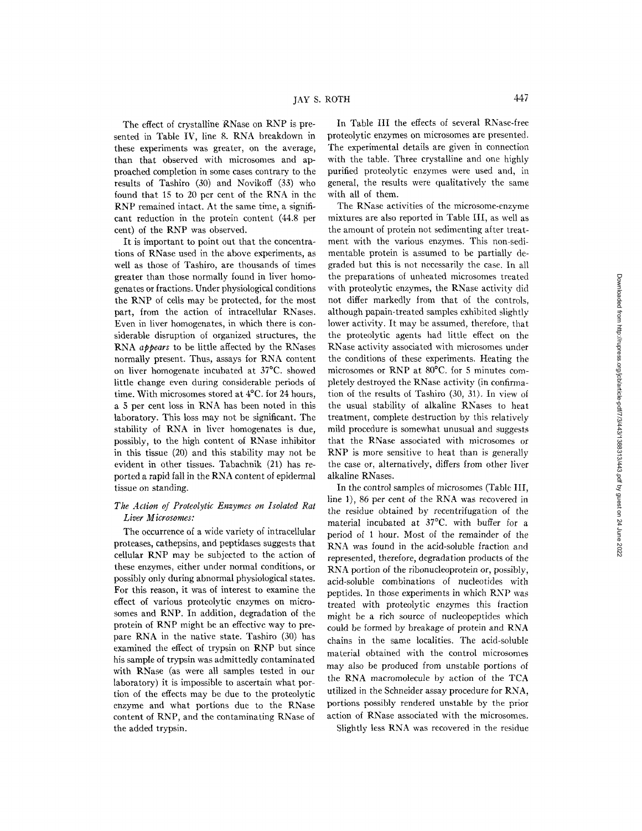The effect of crystalline RNase on RNP is presented in Table IV, line 8. RNA breakdown in these experiments was greater, on the average, than that observed with microsomes and approached completion in some cases contrary to the results of Tashiro (30) and Novikoff (33) who found that 15 to 20 per cent of the RNA in the RNP remained intact. At the same time, a significant reduction in the protein content (44.8 per cent) of the RNP was observed.

It is important to point out that the concentrations of RNase used in the above experiments, as well as those of Tashiro, are thousands of times greater than those normally found in liver homogenates or fractions. Under physiological conditions the RNP of cells may be protected, for the most part, from the action of intracellular RNases. Even in liver homogenates, in which there is considerable disruption of organized structures, the RNA *appears* to be little affected by the RNases normally present. Thus, assays for RNA content on liver homogenate incubated at 37°C. showed little change even during considerable periods of time. With microsomes stored at 4°C. for 24 hours, a 5 per cent loss in RNA has been noted in this laboratory. This loss may not be significant. The stability of RNA in liver homogenates is due, possibly, to the high content of RNase inhibitor in this tissue (20) and this stability may not be evident in other tissues. Tabachnik (21) has reported a rapid fall in the RNA content of epidermal tissue on standing.

# *The Action of Proteolytic Enzymes on Isolated Rat Liver Microsomes:*

The occurrence of a wide variety of intracellular proteases, cathepsins, and peptidases suggests that cellular RNP may be subjected to the action of these enzymes, either under normal conditions, or possibly only during abnormal physiological states. For this reason, it was of interest to examine the effect of various proteolytic enzymes on microsomes and RNP. In addition, degradation of the protein of RNP might be an effective way to prepare RNA in the native state. Tashiro (30) has examined the effect of trypsin on RNP but since his sample of trypsin was admittedly contaminated with RNase (as were all samples tested in our laboratory) it is impossible to ascertain what portion of the effects may be due to the proteolytic enzyme and what portions due to the RNase content of RNP, and the contaminating RNase of the added trypsin.

In Table III the effects of several RNase-free proteolytic enzymes on microsomes are presented. The experimental details are given in connection with the table. Three crystalline and one highly purified proteolytic enzymes were used and, in general, the results were qualitatively the same with all of them.

The RNase activities of the microsome-enzyme mixtures are also reported in Table III, as well as the amount of protein not sedimenting after treatment with the various enzymes. This non-sedimentable protein is assumed to be partially degraded but this is not necessarily the case. In all the preparations of unheated microsomes treated with proteolytic enzymes, the RNase activity did not differ markedly from that of the controls, although papain-treated samples exhibited slightly lower activity. It may be assumed, therefore, that the proteolytic agents had little effect on the RNase activity associated with microsomes under the conditions of these experiments. Heating the microsomes or RNP at 80°C. for 5 minutes completely destroyed the RNase activity (in confirmation of the results of Tashiro (30, 31). In view of the usual stability of alkaline RNases to beat treatment, complete destruction by this relatively mild procedure is somewhat unusual and suggests that the RNase associated with microsomes or RNP is more sensitive to heat than is generally the case or, alternatively, differs from other liver alkaline RNases.

In the control samples of microsomes (Table III, line 1), 86 per cent of the RNA was recovered in the residue obtained by recentrifugation of the material incubated at 37°C. with buffer for a period of 1 hour. Most of the remainder of the RNA was found in the acid-soluble fraction and represented, therefore, degradation products of the RNA portion of the ribonucleoprotein or, possibly, acid-soluble combinations of nucleotides with peptides. In those experiments in which RNP was treated with proteolytic enzymes this fraction might be a rich source of nucleopeptides which could be formed by breakage of protein and RNA chains in the same localities. The acid-soluble material obtained with the control microsomes may also be produced from unstable portions of the RNA macromolecule by action of the TCA utilized in the Schneider assay procedure for RNA, portions possibly rendered unstable by the prior action of RNase associated with the microsomes. Slightly less RNA was recovered in the residue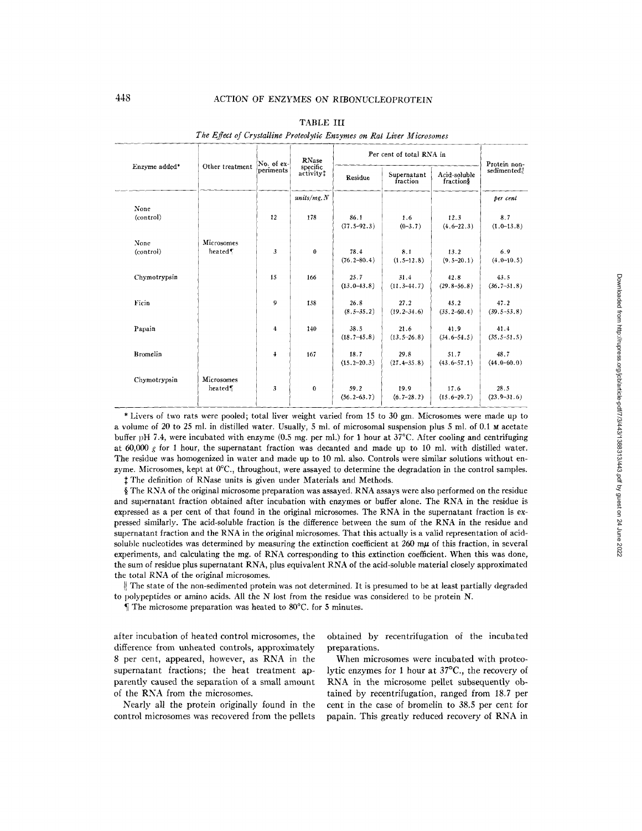|               | Other treatment      | No. of ex-<br>periments | RNase<br>specific<br>activityt | Per cent of total RNA in |                         |                           | Protein non-            |
|---------------|----------------------|-------------------------|--------------------------------|--------------------------|-------------------------|---------------------------|-------------------------|
| Enzyme added* |                      |                         |                                | Residue                  | Supernatant<br>fraction | Acid-soluble<br>fractions | sedimented              |
|               |                      |                         | units/mg. N                    |                          |                         |                           | per cent                |
| None          |                      |                         |                                |                          |                         |                           |                         |
| (control)     |                      | 12                      | 178                            | 86.1<br>$(77.5 - 92.3)$  | 1.6<br>$(0-3.7)$        | 12.3<br>$(4.6 - 22.3)$    | 8.7<br>$(1.0-13.8)$     |
| None          | <b>Microsomes</b>    |                         |                                |                          |                         |                           |                         |
| (control)     | heated               | 3                       | $\bf{0}$                       | 78.4<br>$(76.2 - 80.4)$  | 8.1<br>$(1.5-12.8)$     | 13.2<br>$(9.5 - 20.1)$    | 6.9<br>$(4.0 - 10.5)$   |
| Chymotrypsin  |                      | 15                      | 166                            | 25.7<br>$(13.0 - 43.8)$  | 31.4<br>$(11.3 - 44.7)$ | 42.8<br>$(29.8 - 56.8)$   | 43.5<br>$(36.7 - 51.8)$ |
| Ficin         |                      | 9                       | 158                            | 26.8<br>$(8, 5-35, 2)$   | 27.2<br>$(19.2 - 34.6)$ | 45.2<br>$(35.2 - 60.4)$   | 47.2<br>$(39.5 - 53.8)$ |
| Papain        |                      | 4                       | 140                            | 38.5<br>$(18.7 - 45.8)$  | 21.6<br>$(13.5 - 26.8)$ | 41.9<br>$(34.6 - 54.5)$   | 41.4<br>$(35.5 - 51.5)$ |
| Bromelin      |                      | 4                       | 167                            | 18.7<br>$(15.2 - 20.3)$  | 29.8<br>$(27.4 - 35.8)$ | 51.7<br>$(43.6 - 57.1)$   | 48.7<br>$(44.0 - 60.0)$ |
| Chymotrypsin  | Microsomes<br>heated | 3                       | $\mathbf{0}$                   | 59.2<br>$(56.2 - 63.7)$  | 19.9<br>$(6.7 - 28.2)$  | 17.6<br>$(15.6 - 29.7)$   | 28.5<br>$(23.9 - 31.6)$ |

#### TABLE III

*The Effect of Crystalline Proteolytlc Enzymes on Rat Liver Microsomes* 

\* Livers of two rats were pooled; total liver weight varied from 15 to 30 gin. Microsomes were made up to a volume of 20 to 25 ml. in distilled water. Usually, 5 ml. of microsomal suspension plus 5 ml. of 0.1  $\mu$  acetate buffer pH 7.4, were incubated with enzyme (0.5 mg. per ml.) for 1 hour at 37°C. After cooling and centrifuging at 60,000 g for 1 hour, the supernatant fraction was decanted and made up to 10 ml. with distilled water. The residue was homogenized in water and made up to 10 ml. also. Controls were similar solutions without enzyme. Microsomes, kept at 0°C., throughout, were assayed to determine the degradation in the control samples.

 $\ddagger$  The definition of RNase units is given under Materials and Methods.

§ The RNA of the original microsome preparation was assayed. RNA assays were also performed on the residue and supernatant fraction obtained after incubation with enzymes or buffer alone. The RNA in the residue is expressed as a per cent of that found in the original microsomes. The RNA in the supernatant fraction is expressed similarly. The acid-soluble fraction is the difference between the sum of the RNA in the residue and supernatant fraction and the RNA in the original microsomes. That this actually is a valid representation of acidsoluble nucleotides was determined by measuring the extinction coefficient at 260 m $\mu$  of this fraction, in several experiments, and calculating the mg. of RNA corresponding to this extinction coefficient. When this was done, the sum of residue plus supernatant RNA, plus equivalent RNA of the acid-soluble material closely approximated the total RNA of the original microsomes.

II The state of the non-sedimented protein was not determined. It is presumed to be at least partially degraded to polypeptides or amino acids. All the N lost from the residue was considered to be protein N.

¶ The microsome preparation was heated to 80°C. for 5 minutes.

after incubation of heated control microsomes, the difference from unheated controls, approximately 8 per cent, appeared, however, as RNA in the supernatant fractions; the heat treatment apparently caused the separation of a small amount of the RNA from the microsomes.

Nearly all the protein originally found in the control microsomes was recovered from the pellets

obtained by recentrifugation of the incubated preparations.

When microsomes were incubated with proteolytic enzymes for 1 hour at 37°C., the recovery of RNA in the microsome pellet subsequently obtained by recentrifugation, ranged from 18,7 per cent in the case of bromelin to 38.5 per cent for papain. This greatly reduced recovery of RNA in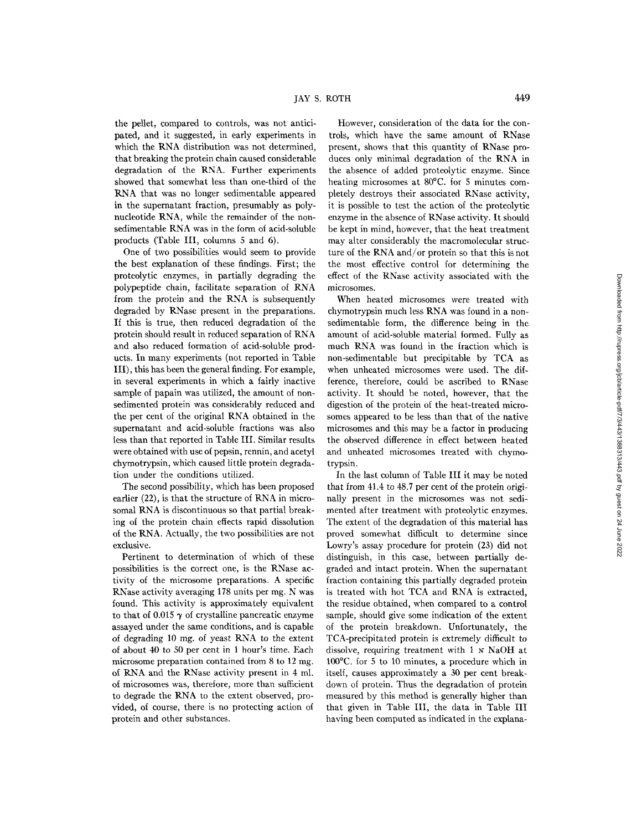the pellet, compared to controls, was not anticipated, and it suggested, in early experiments in which the RNA distribution was not determined, that breaking the protein chain caused considerable degradation of the RNA. Further experiments showed that somewhat less than one-third of the RNA that was no longer sedimentable appeared in the supernatant fraction, presumably as polynucleotide RNA, while the remainder of the nonsedimentable RNA was in the form of acid-soluble products (Table III, columns 5 and 6).

One of two possibilities would seem to provide the best explanation of these findings. First; the proteolytic enzymes, in partially degrading the polypeptide chain, facilitate separation of RNA from the protein and the RNA is subsequently degraded by RNase present in the preparations. If this is true, then reduced degradation of the protein should result in reduced separation of RNA and also reduced formation of acid-soluble products. In many experiments (not reported in Table III), this has been the general finding. For example, in several experiments in which a fairly inactive sample of papain was utilized, the amount of nonsedimented protein was considerably reduced and the per cent of the original RNA obtained in the supernatant and acid-soluble fractions was also less than that reported in Table III. Similar results were obtained with use of pepsin, rennin, and acetyl chymotrypsin, which caused little protein degradation under the conditions utilized.

The second possibility, which has been proposed earlier (22), is that the structure of RNA in microsomal RNA is discontinuous so that partial breaking of the protein chain effects rapid dissolution of the RNA. Actually, the two possibilities are not exclusive.

Pertinent to determination of which of these possibilities is the correct one, is the RNase activity of the microsome preparations. A specific RNase activity averaging 178 units per mg. N was found. This activity is approximately equivalent to that of 0.015  $\gamma$  of crystalline pancreatic enzyme assayed under the same conditions, and is capable of degrading 10 mg. of yeast RNA to the extent of about 40 to 50 per cent in 1 hour's time. Each microsome preparation contained from 8 to 12 mg. of RNA and the RNase activity present in 4 ml. of microsomes was, therefore, more than sufficient to degrade the RNA to the extent observed, provided, of course, there is no protecting action of protein and other substances.

However, consideration of the data for the controis, which have the same amount of RNase present, shows that this quantity of RNase produces only minimal degradation of the RNA in the absence of added proteolytic enzyme. Since heating microsomes at 80°C. for 5 minutes completely destroys their associated RNase activity, it is possible to test the action of the proteolytic enzyme in the absence of RNase activity. It should be kept in mind, however, that the heat treatment may alter considerably the macromolecular structure of the RNA and/or protein so that this is not the most effective control for determining the effect of the RNase activity associated with the microsomes.

When heated microsomes were treated with chymotrypsin much less RNA was found in a nonsedimentable form, the difference being in the amount of acid-soluble material formed. Fully as much RNA was found in the fraction which is non-sedimentable but precipitable by TCA as when unheated microsomes were used. The difference, therefore, could be ascribed to RNase activity. It should be noted, however, that the digestion of the protein of the heat-treated microsomes appeared to be less than that of the native microsomes and this may be a factor in producing the observed difference in effect between heated and unheated microsomes treated with chymotrypsin.

In the last column of Table III it may be noted that from 41.4 to 48.7 per cent of the protein originally present in the microsomes was not sedimented after treatment with proteolytic enzymes. The extent of the degradation of this material has proved somewhat difficult to determine since Lowry's assay procedure for protein (23) did not distinguish, in this case, between partially degraded and intact protein. When the supernatant fraction containing this partially degraded protein is treated with hot TCA and RNA is extracted, the residue obtained, when compared to a control sample, should give some indication of the extent of the protein breakdown. Unfortunately, the TCA-precipitated protein is extremely difficult to dissolve, requiring treatment with  $1 \times NaOH$  at i00°C, for 5 to 10 minutes, a procedure which in itself, causes approximately a 30 per cent breakdown of protein. Thus the degradation of protein measured by this method is generally higher than that given in Table III, the data in Table III having been computed as indicated in the explana-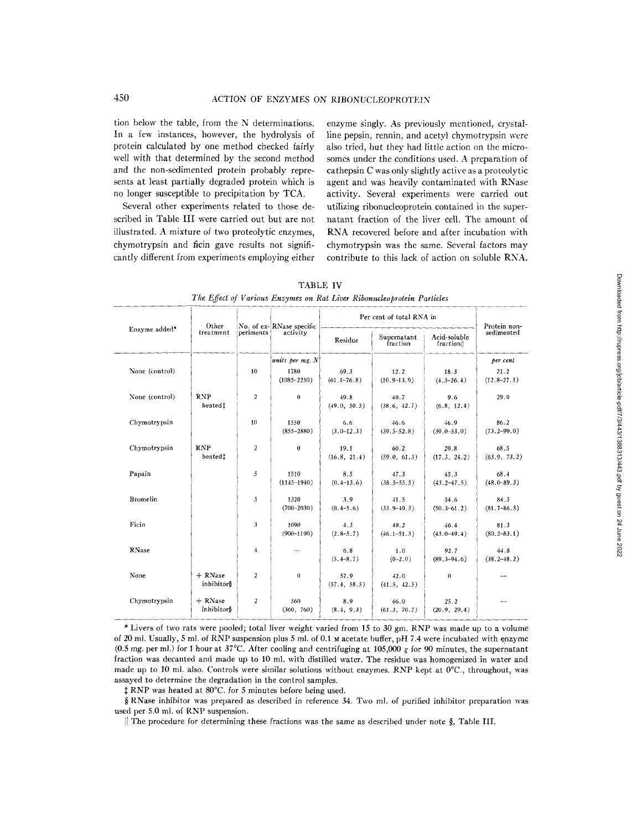**tion below the table, from the N determinations. In a few instances, however, the hydrolysis of protein calculated by one method checked fairly well with that determined by the second method and the non-sedimented protein probably represents at least partially degraded protein which is no longer susceptible to precipitation by TCA.** 

**Several other experiments related to those described in Table III were carried out but are not illustrated. A mixture of two proteolytic enzymes, chymotrypsin and ficin gave results not significantly different from experiments employing either** 

**enzyme singly. As previously mentioned, crystalline pepsin, rennin, and acetyl chymotrypsin were also tried, but they had little action on the microsomes under the conditions used. A preparation of cathepsin C was only slightly active as a proteolytic agent and was heavily contaminated with RNase activity. Several experiments were carried out utilizing ribonucleoprotein contained in the supernatant fraction of the liver cell. The amount of RNA recovered before and after incubation with chymotrypsin was the same. Several factors may contribute to this lack of action on soluble RNA.** 

|                | Other<br>treatment                | periments        | No. of ex-RNase specific<br>activity | Per cent of total RNA in | Protein non-            |                          |                         |
|----------------|-----------------------------------|------------------|--------------------------------------|--------------------------|-------------------------|--------------------------|-------------------------|
| Enzyme added*  |                                   |                  |                                      | Residue                  | Supernatant<br>fraction | Acid-soluble<br>fraction | sedimented              |
|                |                                   |                  | units per mg, N                      |                          |                         |                          | per cent                |
| None (control) |                                   | 10               | 1780<br>$(1085 - 2250)$              | 69.3<br>$(61.1 - 76.8)$  | 12.2<br>$(10.9 - 13.9)$ | 18.3<br>$(4,3-26.4)$     | 21.2<br>$(12.8-27.5)$   |
| None (control) | <b>RNP</b><br>heated <sup>t</sup> | $\overline{2}$   | $\theta$                             | 49.8<br>(49.0, 50.5)     | 40.7<br>(38.6, 42.7)    | 9.6<br>(6.8, 12.4)       | 29.0                    |
| Chymotrypsin   |                                   | 10               | 1550<br>$(855 - 2880)$               | 6.6<br>$(3, 0-12, 3)$    | 46.6<br>$(39.5 - 52.8)$ | 46.9<br>$(39.0 - 53.0)$  | 86.2<br>$(73.2 - 99.0)$ |
| Chymotrypsin   | <b>RNP</b><br>heated:             | $\overline{2}$   | $\bf{0}$                             | 19.1<br>(16.8, 21.4)     | 60.2<br>(59.0.61.3)     | 20.8<br>(17.3, 24.2)     | 68.5<br>(63.9, 73.2)    |
| Papain         |                                   | $\overline{5}$   | 1510<br>$(1145 - 1940)$              | 8.5<br>$(0.4 - 13.6)$    | 47.3<br>$(38.5 - 55.5)$ | 45.3<br>$(43.2 - 47.5)$  | 68.4<br>$(48.0 - 89.3)$ |
| Bromelin       |                                   | $\overline{5}$   | 1320<br>$(700 - 2030)$               | 3.9<br>$(0.4 - 5.6)$     | 41.5<br>$(33.9 - 49.3)$ | 54.6<br>$(50.3 - 61.2)$  | 84.5<br>$(81.7 - 86.3)$ |
| Ficin          |                                   | $\mathfrak{Z}$   | 1090<br>$(900 - 1190)$               | 4.3<br>$(2.8 - 5.7)$     | 49.2<br>$(46.1 - 51.3)$ | 46.4<br>$(43.0 - 49.4)$  | 81.3<br>$(80.2 - 83.1)$ |
| RNase          |                                   | $\bf{4}$         |                                      | 6.8<br>$(5.4 - 8.7)$     | 1.0<br>$(0-2.0)$        | 92.7<br>$(89, 3-94, 6)$  | 44.8<br>$(38.2 - 48.2)$ |
| None           | $+$ RNase<br>inhibitors           | $\overline{2}$   | $\theta$                             | 57.9<br>(57.4, 58.5)     | 42.0<br>(41.5, 42.5)    | $\Omega$                 |                         |
| Chymotrypsin   | $+$ RNase<br>inhibitor§           | $\boldsymbol{2}$ | 560<br>(360, 760)                    | 8.9<br>(8.4, 9.3)        | 66.0<br>(61.3, 70.7)    | 25.2<br>(20.9, 29.4)     |                         |

TABLE IV *The Effect of Various Enzymes on Rat Liver Ribonucleoprotein Particles* 

\* Livers of two rats were pooled; **total liver weight** varied from /5 to 30 gm. RNP was made up to a volume of 20 ml. Usually, 5 ml. of RNP suspension plus 5 ml. of 0.l ~ acetate buffer, pH 7.4 were **incubated with** enzyme (0.5 mg. per ml.) for 1 hour at 37°C. After cooling and centrifuging at 105,000 g for 90 minutes, the supernatant fraction was decanted and made up to 10 ml. **with distilled water. The** residue was homogenized in water and made up to 10 ml. also. Controls were similar solutions without enzymes. RNP kept at 0°C., throughout, was assayed to **determine the** degradation in the control samples.

 $\text{\textsterling}$  RNP was heated at 80°C. for 5 minutes before being used.

§ RNase inhibitor was prepared as described in reference 34. Two ml. of purified inhibitor preparation was used per 5.0 ml. of RNP suspension.

!l The procedure for determining these fractions was the same as described under note §, Table III.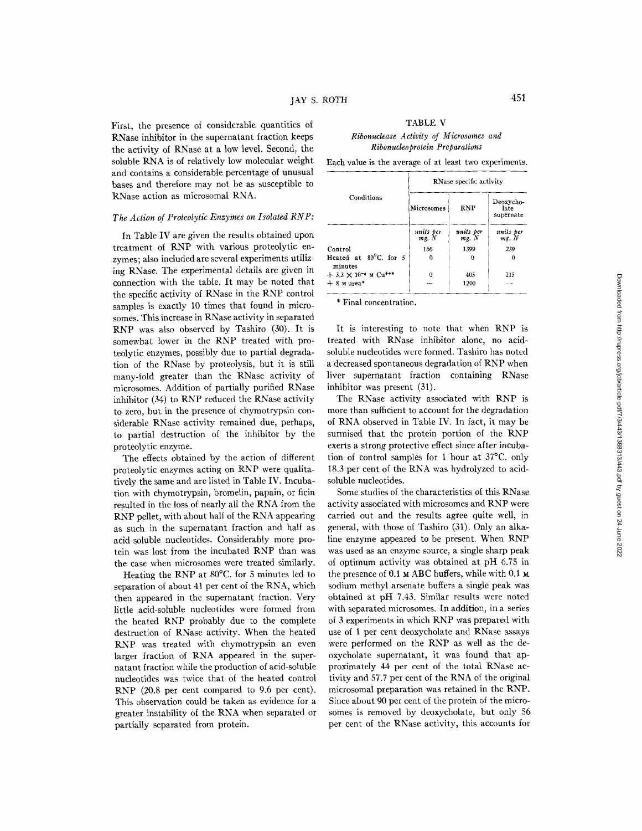First, the presence of considerable quantities of RNase inhibitor in the supernatant fraction keeps the activity of RNase at a low level. Second, the soluble RNA is of relatively low molecular weight and contains a considerable percentage of unusual bases and therefore may not be as susceptible to RNase action as microsomal RNA.

#### *The Action of Proteolytic Enzymes on Isolated RNP:*

In Table IV are given the results obtained upon treatment of RNP with various proteolytic enzymes; also included are several experiments utilizing RNase. The experimental details are given in connection with the table. It may be noted that the specific activity of RNase in the RNP control samples is exactly 10 times that found in microsomes. This increase in RNase activity in separated RNP was also observed by Tashiro (30). It is somewhat lower in the RNP treated with proteolytic enzymes, possibly due to partial degradation of the RNase by proteolysis, but it is still many-fold greater than the RNase activity of microsomes. Addition of partially purified RNase inhibitor (34) to RNP reduced the RNase activity to zero, but in the presence of chymotrypsin considerable RNase activity remained due, perhaps, to partial destruction of the inhibitor by the proteolytic enzyme.

The effects obtained by the action of different proteolytic enzymes acting on RNP were qualitatively the same and are listed in Table IV. Incubation with chymotrypsin, bromelin, papain, or ficin resulted in the loss of nearly all the RNA from the RNP pellet, with about half of the RNA appearing as such in the supernatant fraction and half as acid-soluble nucleotides. Considerably more protein was lost from the incubated RNP than was the case when microsomes were treated similarly.

Heating the RNP at 80°C. for 5 minutes led to separation of about 41 per cent of the RNA, which then appeared in the supernatant fraction. Very little acid-soluble nucleotides were formed from the heated RNP probably due to the complete destruction of RNase activity. When the heated RNP was treated with chymotrypsin an even larger fraction of RNA appeared in the supernatant fraction while the production of acid-soluble nudeotides was twice that of the heated control RNP (20.8 per cent compared to 9.6 per cent). This observation could be taken as evidence for a greater instability of the RNA when separated or partially separated from protein.

# TABLE V

#### *Ribonuclease Activity of Microsomes and Ribonucleoprotein Preparations*

Each value is the average of at least two experiments.

|                                           | RNase specific activity |                        |                                |  |  |  |
|-------------------------------------------|-------------------------|------------------------|--------------------------------|--|--|--|
| Conditions                                | Microsomes              | <b>RNP</b>             | Deoxycho-<br>late<br>supernate |  |  |  |
|                                           | units per<br>mg. N      | units per<br>$mg.$ $N$ | units ber<br>mg. N             |  |  |  |
| Control                                   | 166                     | 1399                   | 239                            |  |  |  |
| Heated at 80°C, for 5<br>minutes          | 0                       |                        |                                |  |  |  |
| $+3.3 \times 10^{-4}$ M Cu <sup>++*</sup> | 0                       | 405                    | 215                            |  |  |  |
| $+8$ M urea*                              |                         | 1200                   |                                |  |  |  |

\* Final concentration.

It is interesting to note that when RNP is treated with RNase inhibitor alone, no acidsoluble nucleotides were formed. Tashiro has noted a decreased spontaneous degradation of RNP when liver supernatant fraction containing RNase inhibitor was present (31).

The RNase activity associated with RNP is more than sufficient to account for the degradation of RNA observed in Table IV. In fact, it may be surmised that the protein portion of the RNP exerts a strong protective effect since after incubation of control samples for 1 hour at 37°C. only 18.3 per cent of the RNA was hydrolyzed to acidsoluble nucleotides.

Some studies of the characteristics of this RNase activity associated with microsomes and RNP were carried out and the results agree quite well, in general, with those of Tashiro (31). Only an alkaline enzyme appeared to be present. When RNP was used as an enzyme source, a single sharp peak of optimum activity was obtained at pH 6.75 in the presence of  $0.1 \text{ M ABC}$  buffers, while with  $0.1 \text{ M}$ sodium methyl arsenate buffers a single peak was obtained at pH 7.43. Similar results were noted with separated microsomes. In addition, in a series of 3 experiments in which RNP was prepared with use of l per cent deoxycholate and RNase assays were performed on the RNP as well as the deoxycholate supernatant, it was found that approximately 44 per cent of the total RNase activity and 57.7 per cent of the RNA of the original microsomal preparation was retained in the RNP. Since about 90 per cent of the protein of the microsomes is removed by deoxycholate, but only 56 per cent of the RNase activity, this accounts for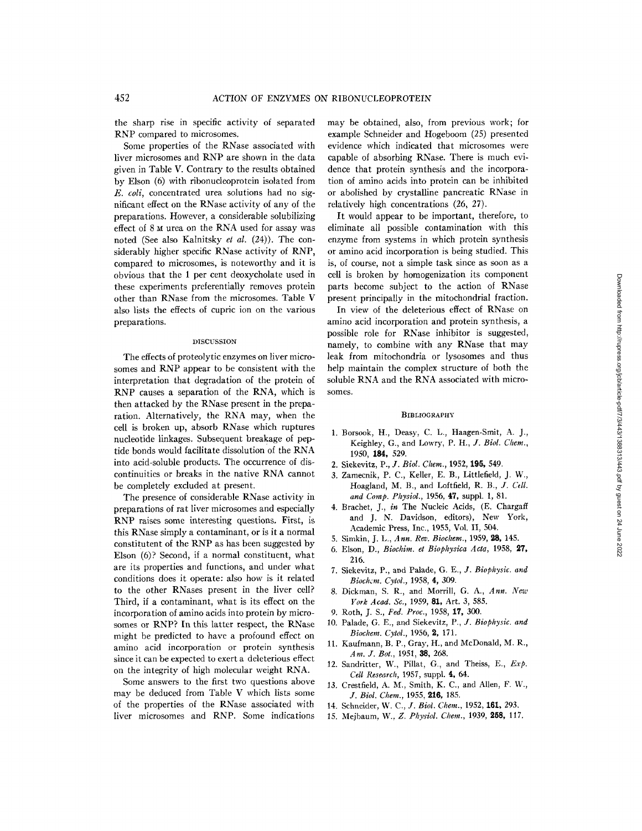the sharp rise in specific activity of separated RNP compared to microsomes.

Some properties of the RNase associated with liver microsomes and RNP are shown in the data given in Table V. Contrary to the results obtained by Elson (6) with ribonucleoprotein isolated from *E. coli,* concentrated urea solutions had no significant effect on the RNase activity of any of the preparations. However, a considerable solubilizing effect of 8 M urea on the RNA used for assay was noted (See also Kalnitsky *et al.* (24)). The considerably higher specific RNase activity of RNP, compared to microsomes, is noteworthy and it is obvious that the 1 per cent deoxycholate used in these experiments preferentially removes protein other than RNase from the microsomes. Table V also lists the effects of cupric ion on the various preparations.

#### DISCUSSION

The effects of proteolytic enzymes on liver microsomes and RNP appear to be consistent with the interpretation that degradation of the protein of RNP causes a separation of the RNA, which is then attacked by the RNase present in the preparation. Alternatively, the RNA may, when the cell is broken up, absorb RNase which ruptures nucleotide linkages. Subsequent breakage of peptide bonds would facilitate dissolution of the RNA into acid-soluble products. The occurrence of discontinuities or breaks in the native RNA cannot be completely excluded at present.

The presence of considerable RNase activity in preparations of rat liver microsomes and especially RNP raises some interesting questions. First, is this RNase simply a contaminant, or is it a normal constitutent of the RNP as has been suggested by Elson (6)? Second, if a normal constituent, what are its properties and functions, and under what conditions does it operate: also how is it related to the other RNases present in the liver cell? Third, if a contaminant, what is its effect on the incorporation of amino acids into protein by microsomes or RNP? In this latter respect, the RNase might be predicted to have a profound effect on amino acid incorporation or protein synthesis since it can be expected to exert a deleterious effect on the integrity of high molecular weight RNA.

Some answers to the first two questions above may be deduced from Table V which lists some of the properties of the RNase associated with liver microsomes and RNP. Some indications may be obtained, also, from previous work; for example Schneider and Hogeboom (25) presented evidence which indicated that microsomes were capable of absorbing RNase. There is much evidence that protein synthesis and the incorporation of amino acids into protein can be inhibited or abolished by crystalline pancreatic RNase in relatively high concentrations (26, 27).

It would appear to be important, therefore, to eliminate all possible contamination with this enzyme from systems in which protein synthesis or amino acid incorporation is being studied. This is, of course, not a simple task since as soon as a cell is broken by homogenization its component parts become subject to the action of RNase present principally in the mitochondrial fraction.

In view of the deleterious effect of RNase on amino acid incorporation and protein synthesis, a possible role for RNase inhibitor is suggested, namely, to combine with any RNase that may leak from mitochondria or lysosomes and thus help maintain the complex structure of both the soluble RNA and the RNA associated with microsomes.

#### BIBLIOGRAPHY

- 1. Borsook, H., Deasy, C. L., Haagen-Smit, A. J., Keighley, G., and Lowry, P. H., *J. Biol. Chem.,*  1950, 184, 529.
- 2. Siekevitz, *P., J. Biol. Chem.,* 1952, 195, 549.
- 3. Zamecnik, P. C., Keller, E. B., Littlefield, J. W., Hoagland, M. B., and Loftfield, *R. B., J. Cell. and Comp. Physiol.,* 1956, 47, suppl. 1, 81.
- 4. Brachet, J., *in* The Nucleic Acids, (E. Chargaff and J. N. Davidson, editors), New York, Academic Press, Inc., 1955, Vol. II, 504.
- 5. Simkin, J. L., *Ann. Rev. Biochem.*, 1959, 28, 145.
- 6. Elson, D., *Biochim. et Biophysica Acta,* 1958, 27, 216.
- 7. Siekevitz, P., and Palade, *G. E., J. Biophysic. and Biochcm. Cylol.,* 1958, 4, 309.
- 8. Dickman, S. R., and Morrill, G. A., *Ann. New York Acad. Sc.,* 1959, 81, Art. 3, 585.
- 9. Roth, J. S., *Fed. Proc.,* 1958, 17, 300.
- I0. Palade, G. E., and Siekevitz, *P., J. Biophyslc. and Biochem. Cytd.,* 1956, 2, 171.
- ll. Kaufmann, B. P., Gray, H., and McDonald, M. R., *Am. J. Bot.,* 1951, 38, 268.
- 12. Sandritter, W., Pillat, G., and Theiss, E., *Exp. Cell Research,* 1957, suppl. 4, 64.
- 13. Crestfield, A. M., Smith, K. C., and Allen, F. W., *J. Biol. Chem.,* 1955, 216, 185.
- 14. Schneider, *W. C., J. Biol. Chem.,* 1952, 161, 293.
- 15. Mejbaum, *W., Z. Physiol. Chem.,* 1939, 258, 117.